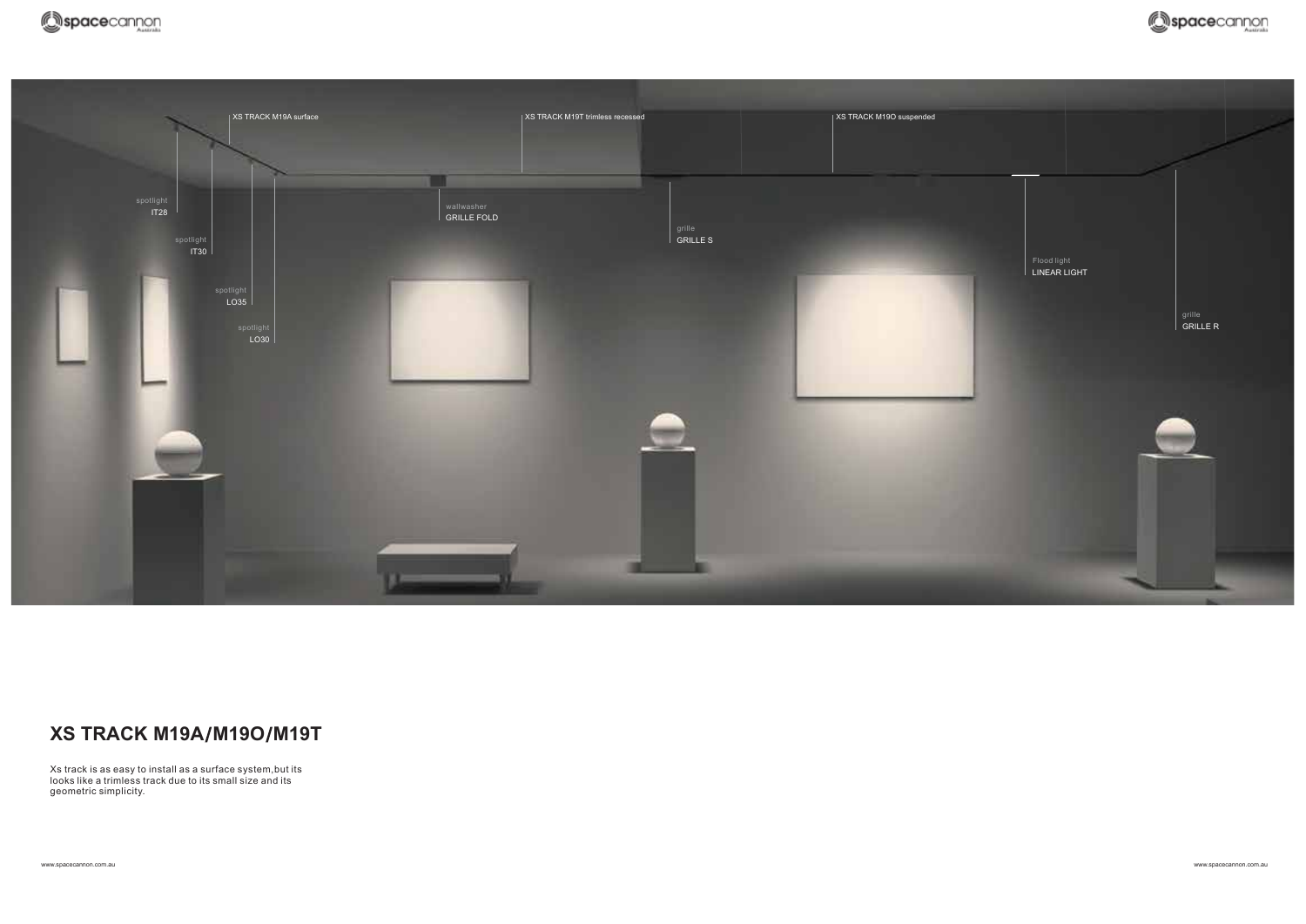

#### **XS TRACK M19A M19O M19T**

Xs track is as easy to install as a surface system,but its looks like a trimless track due to its small size and its geometric simplicity.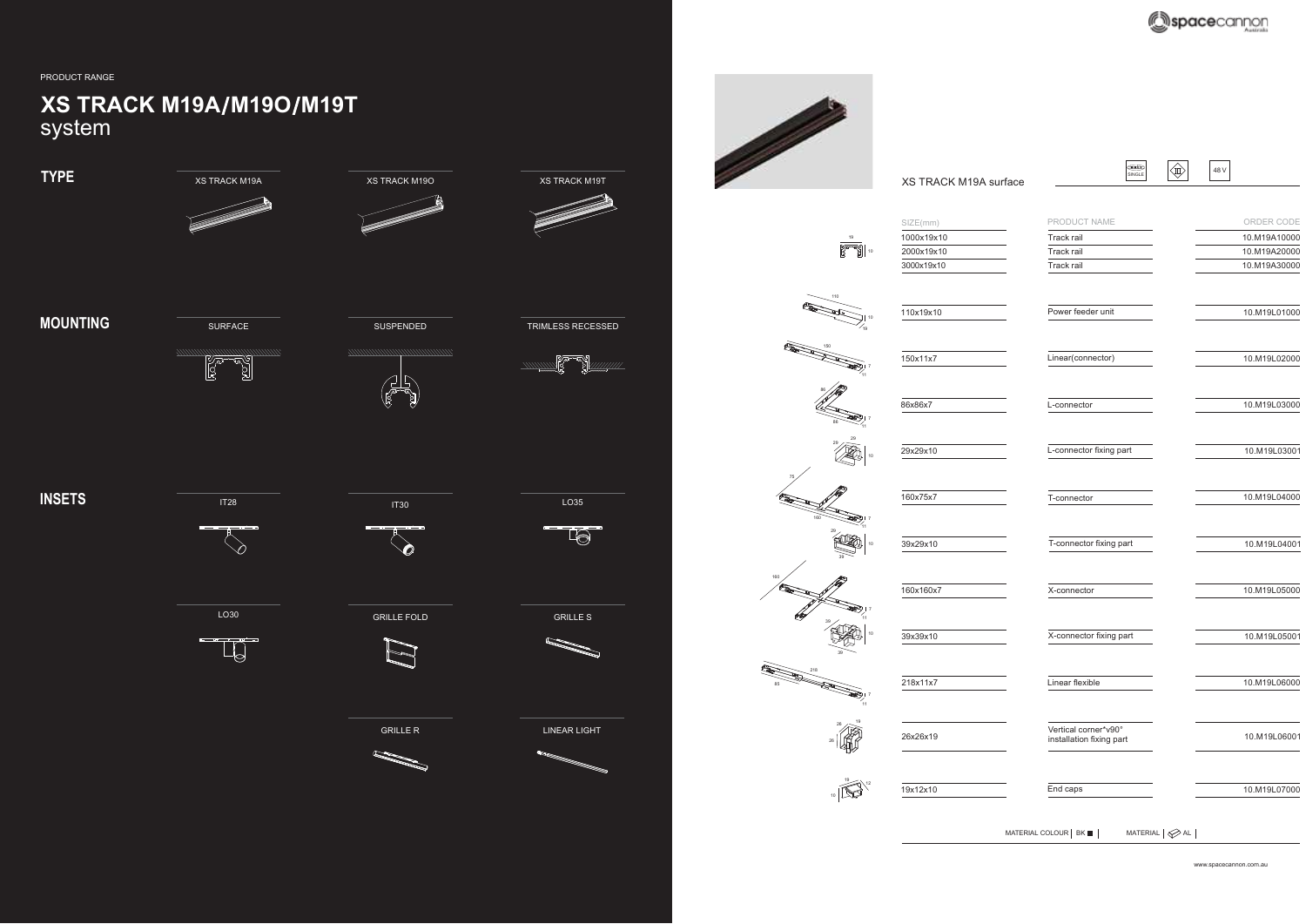

www.spacecannon.com.au www.spacecannon.com.au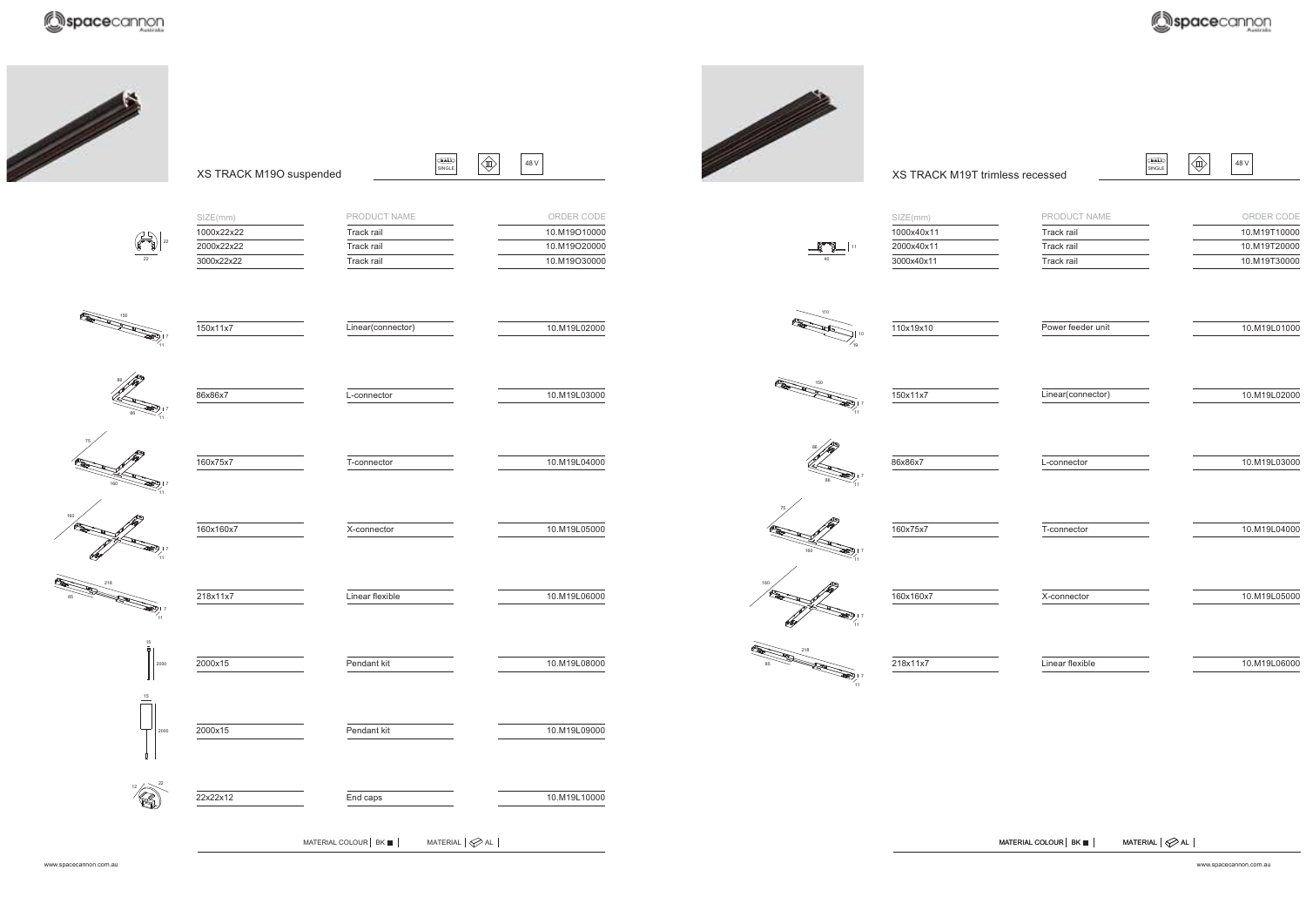

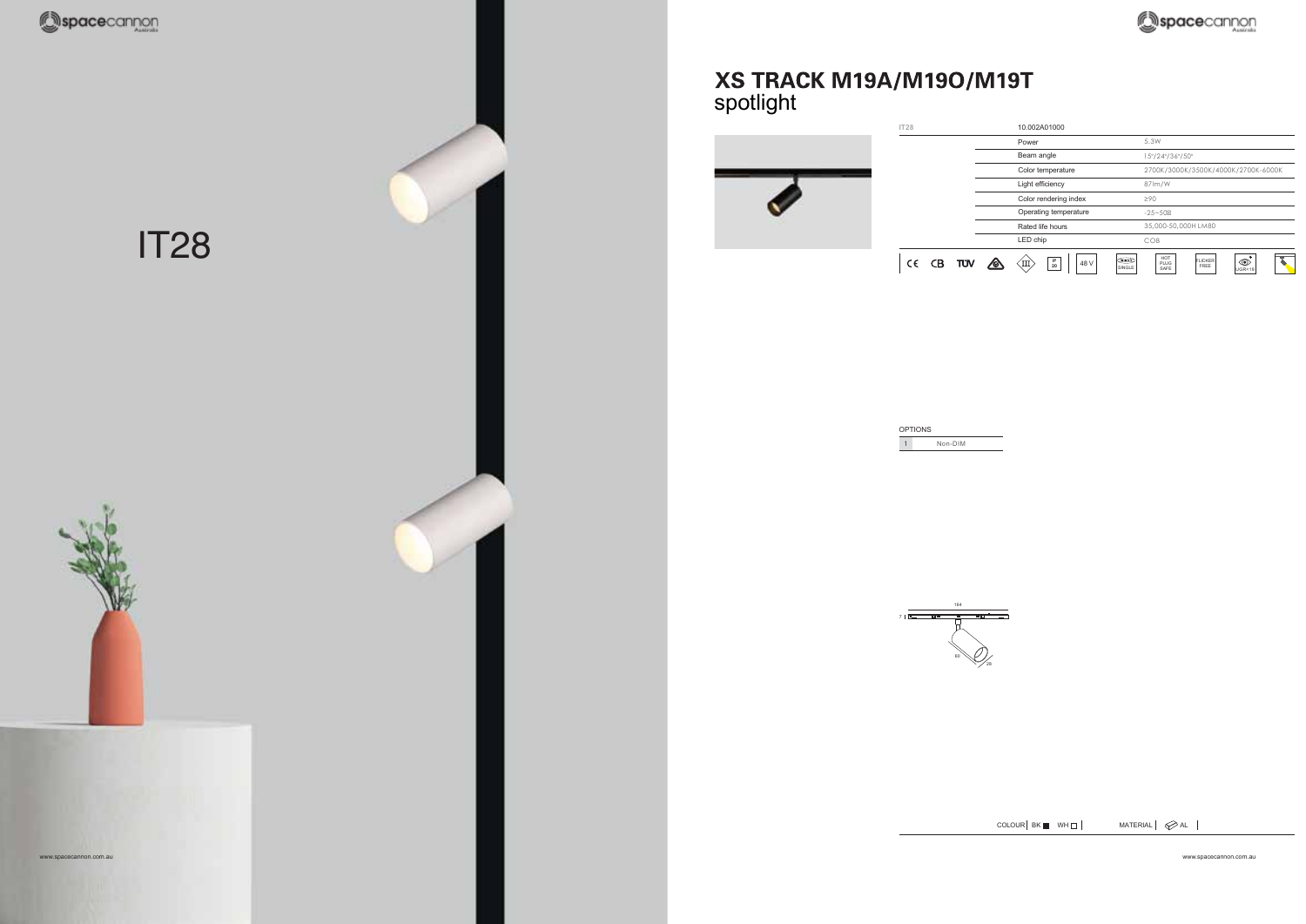

## XS TRACK M19A/M19O/M19T<br>spotlight



| OPTIONS |  |
|---------|--|
| Non-DIM |  |



 $COLOUR$  BK WH $\neg$   $MATERIAL$   $\oslash$  AL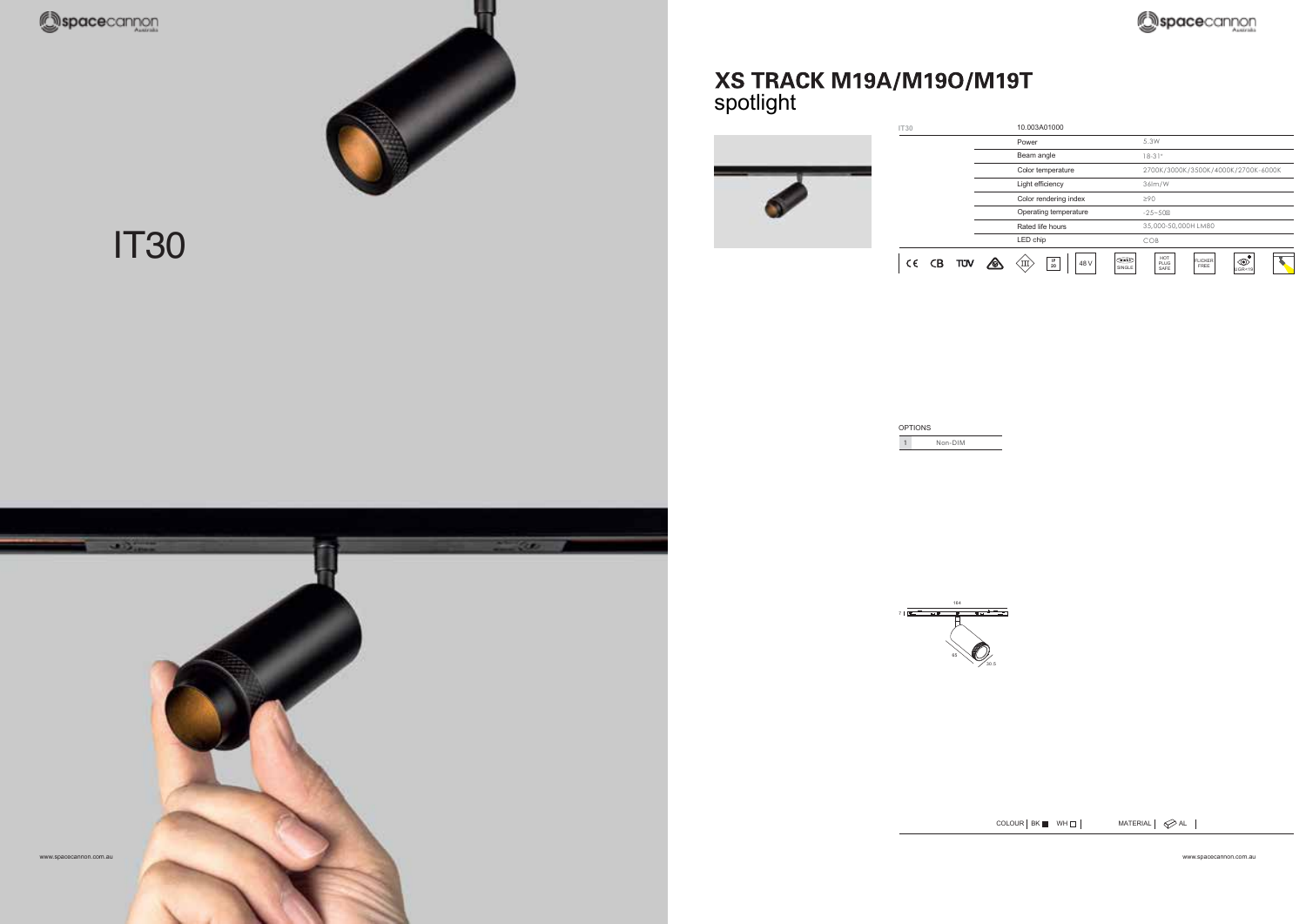

IT30



### XS TRACK M19A/M19O/M19T spotlight







 $COLOUR | BK \blacksquare WHD |$  MATERIAL  $\oslash$  AL  $\blacksquare$ 

spacecannon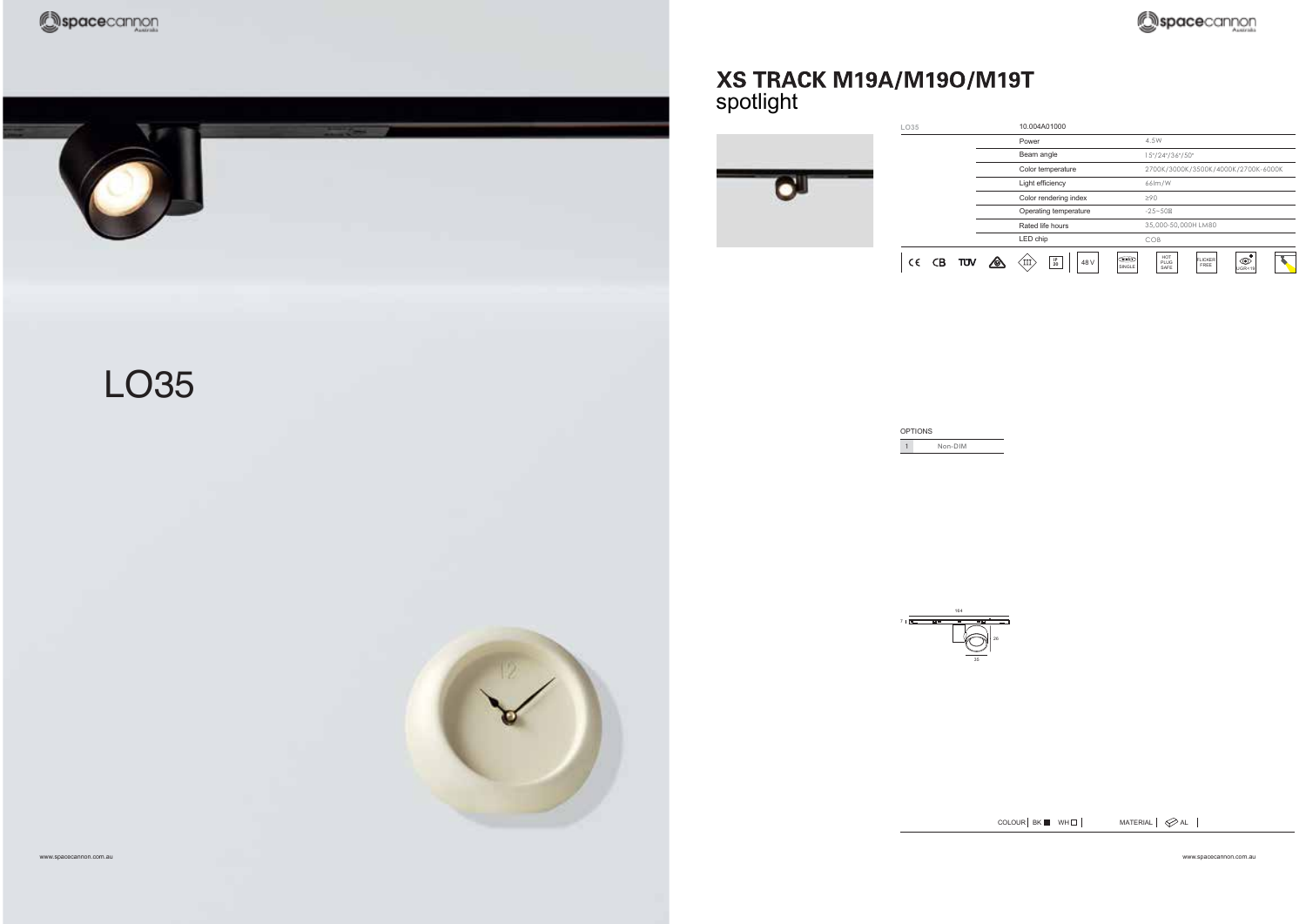



## XS TRACK M19A/M19O/M19T<br>spotlight

| LO35 |           | 10.004A01000                          |                |                                     |                        |                          |  |
|------|-----------|---------------------------------------|----------------|-------------------------------------|------------------------|--------------------------|--|
|      |           | Power                                 |                | 4.5W                                |                        |                          |  |
|      |           | Beam angle                            |                | 15°/24°/36°/50°                     |                        |                          |  |
|      |           | Color temperature                     |                | 2700K/3000K/3500K/4000K/2700K-6000K |                        |                          |  |
|      |           | Light efficiency                      |                | 66lm/W                              |                        |                          |  |
|      |           | Color rendering index                 |                | $\geq 90$                           |                        |                          |  |
|      |           | Operating temperature                 |                | $-25 - 50$                          |                        |                          |  |
|      |           | Rated life hours                      |                | 35,000-50,000H LM80                 |                        |                          |  |
|      |           | LED chip                              |                | COB                                 |                        |                          |  |
| C€   | CB<br>TÜV | $^{\rm IP}_{\rm 20}$<br>48 V<br>ζIII, | DALL<br>SINGLE | HOT<br>PLUG<br>SAFE                 | <b>FLICKER</b><br>FREE | $\circledcirc$<br>UGR<19 |  |

| <b>OPTIONS</b> |  |
|----------------|--|
| Non-DIM        |  |



 $COLOUR | BK \blacksquare WHD |$  MATERIAL  $\oslash AL$   $\blacksquare$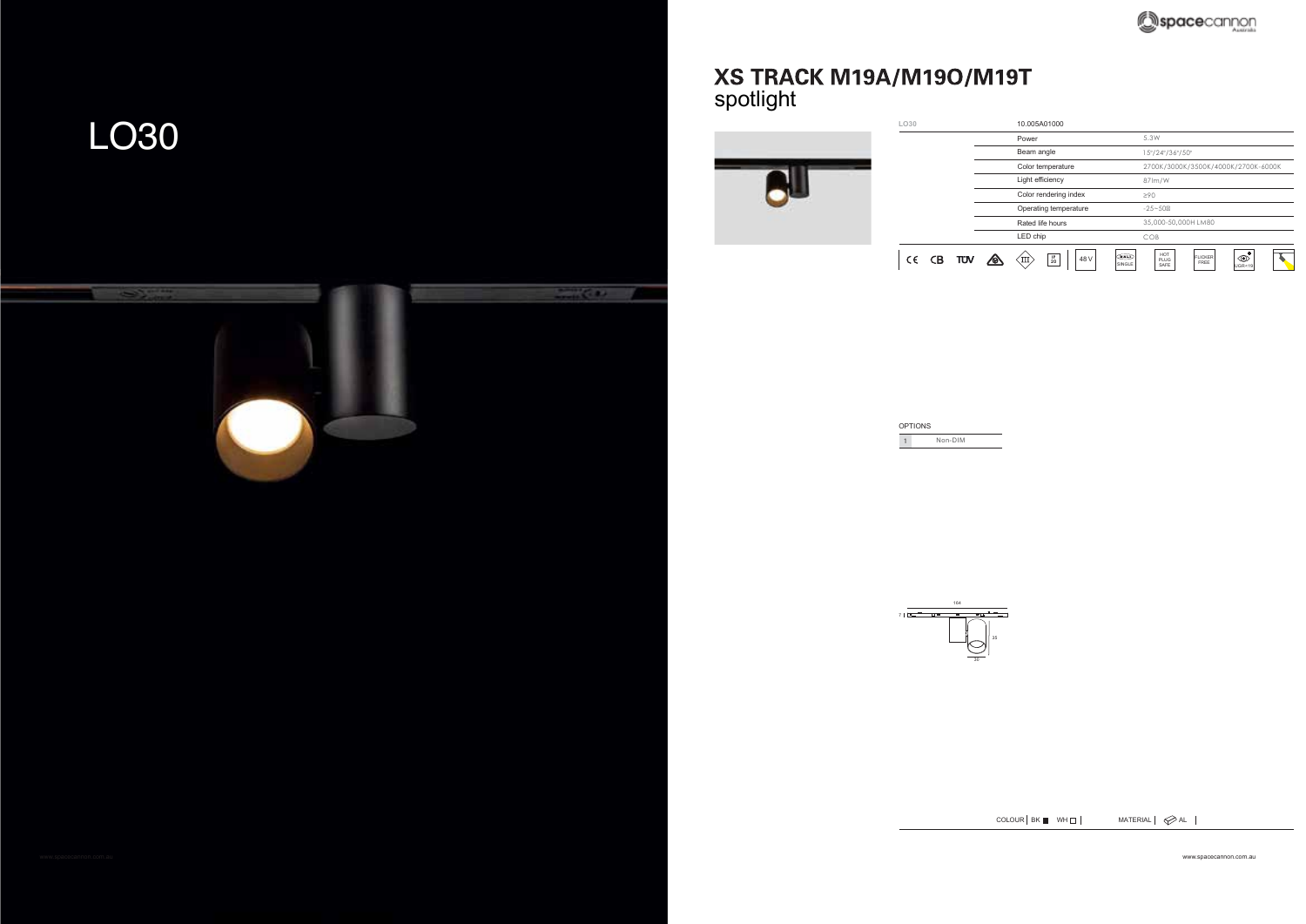### LO30



# XS TRACK M19A/M19O/M19T<br>spotlight



OPTIONS 1 Non-DIM

> 164 35

> > 30

 $COLOUR | BK \blacksquare$  WH $\square$  | MATERIAL |  $\oslash$  AL |

www.spacecannon.com.au www.spacecannon.com.au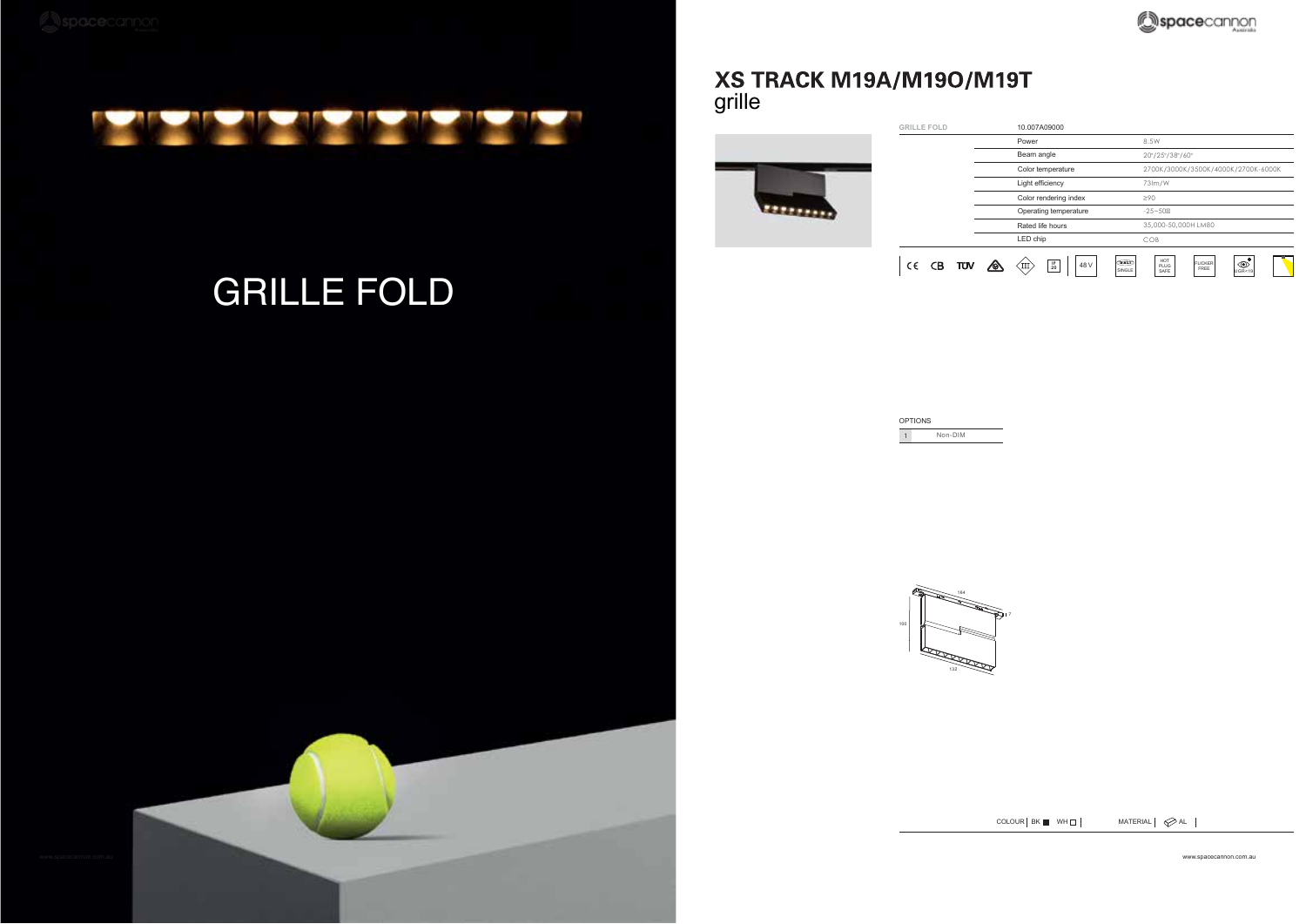

### GRILLE FOLD

www.spacecannon.com.au www.spacecannon.com.au www.spacecannon.com.au www.spacecannon.com.au www.spacecannon.com.au

#### XS TRACK M19A/M19O/M19T grille



| <b>OPTIONS</b> |  |
|----------------|--|
| Non-DIM        |  |



 $COLOUR$  BK WH $\Box$  MATERIAL  $\Diamond$  AL